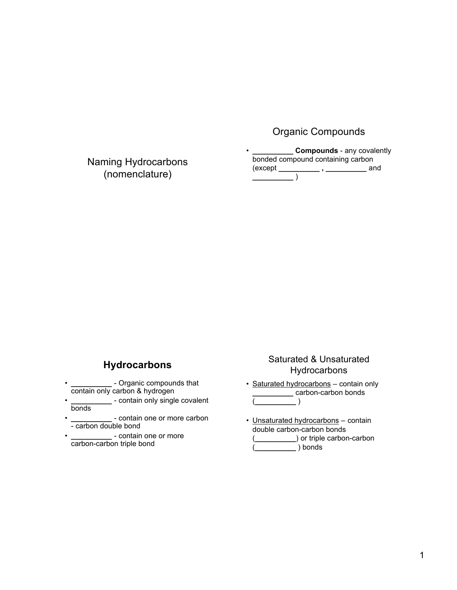# Organic Compounds

Naming Hydrocarbons (nomenclature)

**Compounds** - any covalently bonded compound containing carbon<br>
(except \_\_\_\_\_\_\_\_\_\_\_\_\_\_, \_\_\_\_\_\_\_\_\_\_\_\_\_\_\_\_\_\_\_ are \_\_\_\_\_\_\_\_\_\_\_\_\_\_\_\_ , \_\_\_\_\_\_\_\_\_\_\_\_\_\_ and **\_\_\_\_\_\_\_\_\_\_** )

## **Hydrocarbons**

- **\_\_\_\_\_\_\_\_\_\_** Organic compounds that contain only carbon & hydrogen
- **\_\_\_\_\_\_\_\_\_\_**  contain only single covalent bonds
- **\_\_\_\_\_\_\_\_\_\_**  contain one or more carbon - carbon double bond
- **\_\_\_\_\_\_\_\_\_\_**  contain one or more carbon-carbon triple bond

#### Saturated & Unsaturated **Hydrocarbons**

- Saturated hydrocarbons contain only **\_\_\_\_\_\_\_** carbon-carbon bonds (**\_\_\_\_\_\_\_\_\_\_** )
- Unsaturated hydrocarbons contain double carbon-carbon bonds (**\_\_\_\_\_\_\_\_\_\_**) or triple carbon-carbon
	- (**\_\_\_\_\_\_\_\_\_\_** ) bonds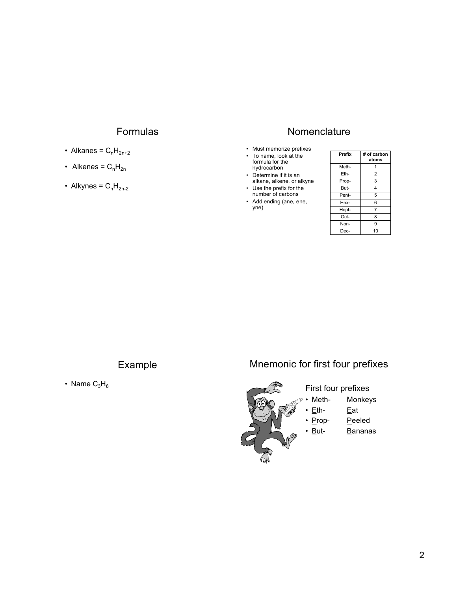## Formulas

- Alkanes =  $C_nH_{2n+2}$
- Alkenes =  $C_nH_{2n}$
- Alkynes =  $C_nH_{2n-2}$

## **Nomenclature**

- Must memorize prefixes
- To name, look at the formula for the hydrocarbon
- Determine if it is an alkane, alkene, or alkyne
- Use the prefix for the number of carbons
- Add ending (ane, ene, yne)

| Prefix | # of carbon<br>atoms |
|--------|----------------------|
| Meth-  | 1                    |
| Eth-   | $\overline{2}$       |
| Prop-  | 3                    |
| But-   | 4                    |
| Pent-  | 5                    |
| Hex-   | 6                    |
| Hept-  | $\overline{7}$       |
| Oct-   | 8                    |
| Non-   | 9                    |
| Dec-   | 10                   |

## Example

• Name  $C_3H_8$ 

## Mnemonic for first four prefixes



- Meth- **Monkeys** 
	- Eat
	- Peeled
		- **Bananas**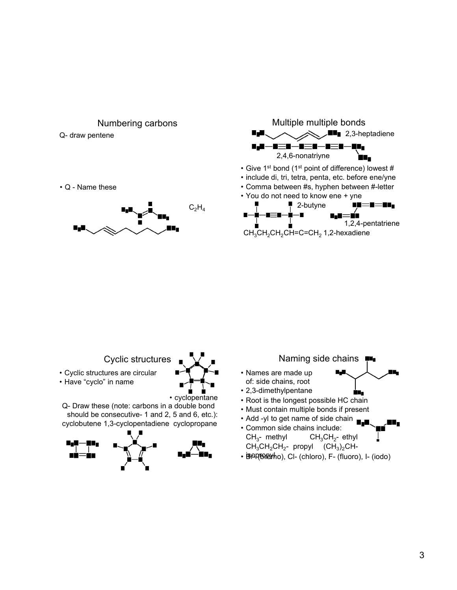

Multiple multiple bonds

 $\blacksquare$  2,3-heptadiene

#### Numbering carbons

Q- draw pentene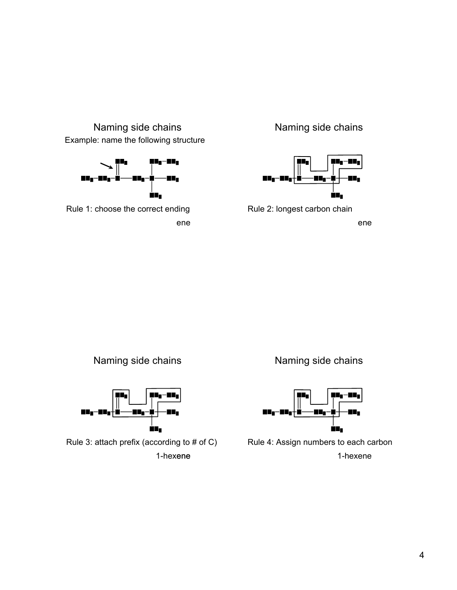



 ene Rule 1: choose the correct ending

Naming side chains



Rule 2: longest carbon chain

ene





1-hexene Rule 3: attach prefix (according to # of C)

Naming side chains



Rule 4: Assign numbers to each carbon 1-hexene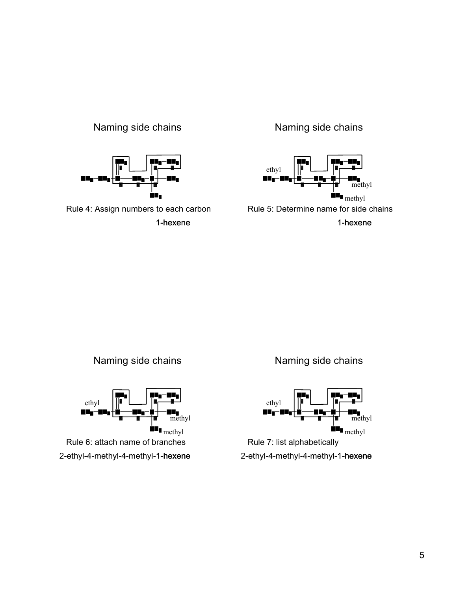## Naming side chains



Rule 4: Assign numbers to each carbon 1-hexene 1-hexene

### Naming side chains



1-hexene



Naming side chains



2-ethyl-4-methyl-4-methyl- 1-hexene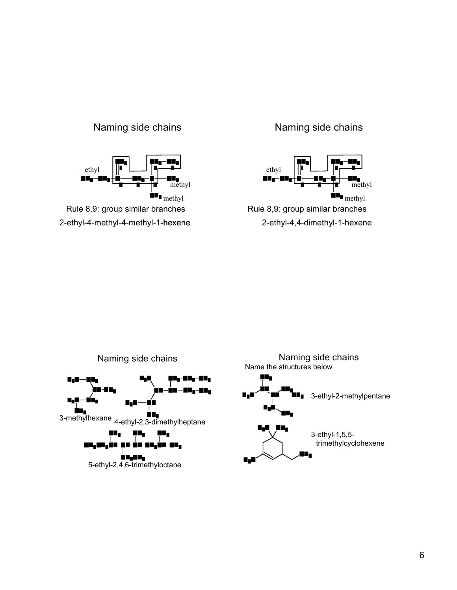### Naming side chains



### Naming side chains



Rule 8,9: group similar branches 2-ethyl-4,4-dimethyl-1-hexene

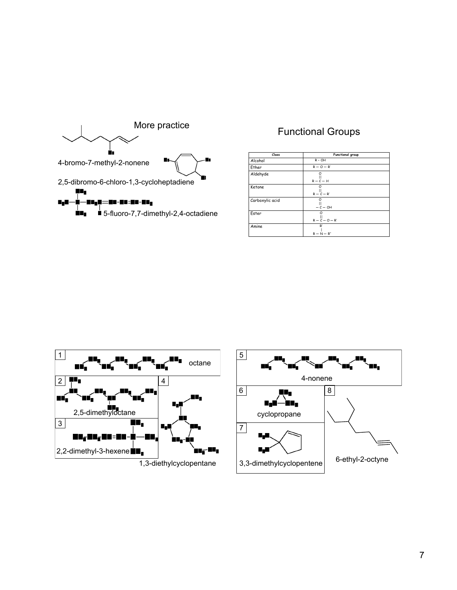

### Functional Groups

| Class           | Functional group        |
|-----------------|-------------------------|
| Alcohol         | $R - OH$                |
| Ether           | $R - Q - R'$            |
| Aldehyde        | Ω<br>$R - C - H$        |
| Ketone          | Ω<br>$R - C - R'$       |
| Carboxylic acid | Ο<br>$-\frac{11}{c-0H}$ |
| Ester           | O<br>$R - C - Q - R'$   |
| Amine           | R'<br>$R - N - R''$     |